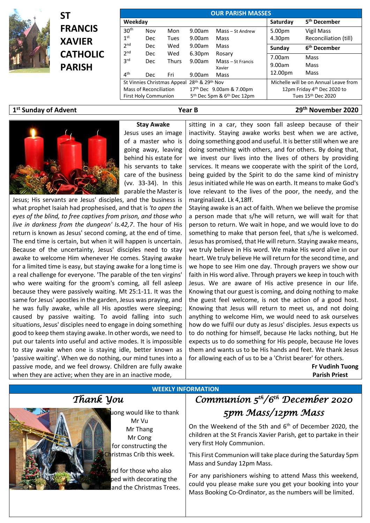

|                                  | SТ              | <b>OUR PARISH MASSES</b> |                                                |              |        |                                                    |                                       |                                |
|----------------------------------|-----------------|--------------------------|------------------------------------------------|--------------|--------|----------------------------------------------------|---------------------------------------|--------------------------------|
|                                  |                 | Weekday                  |                                                |              |        |                                                    | Saturday                              | 5 <sup>th</sup> December       |
|                                  | <b>FRANCIS</b>  | 30 <sup>th</sup>         | Nov                                            | Mon          | 9.00am | Mass - St Andrew                                   | 5.00pm                                | Vigil Mass                     |
|                                  | <b>XAVIER</b>   | 1 <sup>st</sup>          | Dec                                            | <b>Tues</b>  | 9.00am | Mass                                               | 4.30pm                                | Reconciliation (till)          |
|                                  |                 | 2 <sub>nd</sub>          | Dec                                            | Wed          | 9.00am | Mass                                               | Sunday                                | 6 <sup>th</sup> December       |
|                                  | <b>CATHOLIC</b> | 2 <sup>nd</sup>          | Dec                                            | Wed          | 6.30pm | Rosary                                             | 7.00am                                | Mass                           |
|                                  | <b>PARISH</b>   | 3 <sup>rd</sup>          | Dec                                            | <b>Thurs</b> | 9.00am | Mass - St Francis<br>Xavier                        | 9.00am                                | Mass                           |
|                                  |                 | 4 <sup>th</sup>          | Dec                                            | Fri          | 9.00am | Mass                                               | 12.00pm                               | Mass                           |
|                                  |                 |                          | 28th & 29th Nov<br>St Vinnies Christmas Appeal |              |        |                                                    | Michelle will be on Annual Leave from |                                |
|                                  |                 |                          | Mass of Reconciliation                         |              |        | 17 <sup>th</sup> Dec 9.00am & 7.00pm               |                                       | 12pm Friday 4th Dec 2020 to    |
|                                  |                 |                          | <b>First Holy Communion</b>                    |              |        | 5 <sup>th</sup> Dec 5pm & 6 <sup>th</sup> Dec 12pm |                                       | Tues 15 <sup>th</sup> Dec 2020 |
| 1 <sup>st</sup> Sunday of Advent |                 |                          |                                                |              | Year B |                                                    |                                       | 29 <sup>th</sup> November 2020 |



**Stay Awake** Jesus uses an image of a master who is going away, leaving behind his estate for his servants to take care of the business (vv. 33-34). In this parable the Master is

Jesus; His servants are Jesus' disciples, and the business is what prophet Isaiah had prophesised, and that is *'to open the eyes of the blind, to free captives from prison, and those who live in darkness from the dungeon' Is.42,7*. The hour of His return is known as Jesus' second coming, at the end of time. The end time is certain, but when it will happen is uncertain. Because of the uncertainty, Jesus' disciples need to stay awake to welcome Him whenever He comes. Staying awake for a limited time is easy, but staying awake for a long time is a real challenge for everyone. 'The parable of the ten virgins' who were waiting for the groom's coming, all fell asleep because they were passively waiting. Mt 25:1-11. It was the same for Jesus' apostles in the garden, Jesus was praying, and he was fully awake, while all His apostles were sleeping; caused by passive waiting. To avoid falling into such situations, Jesus' disciples need to engage in doing something good to keep them staying awake. In other words, we need to put our talents into useful and active modes. It is impossible to stay awake when one is staying idle, better known as 'passive waiting'. When we do nothing, our mind tunes into a passive mode, and we feel drowsy. Children are fully awake when they are active; when they are in an inactive mode,

sitting in a car, they soon fall asleep because of their inactivity. Staying awake works best when we are active, doing something good and useful. It is better still when we are doing something with others, and for others. By doing that, we invest our lives into the lives of others by providing services. It means we cooperate with the spirit of the Lord, being guided by the Spirit to do the same kind of ministry Jesus initiated while He was on earth. It means to make God's love relevant to the lives of the poor, the needy, and the marginalized. Lk 4,18ff.

Staying awake is an act of faith. When we believe the promise a person made that s/he will return, we will wait for that person to return. We wait in hope, and we would love to do something to make that person feel, that s/he is welcomed. Jesus has promised, that He will return. Staying awake means, we truly believe in His word. We make His word alive in our heart. We truly believe He will return for the second time, and we hope to see Him one day. Through prayers we show our faith in His word alive. Through prayers we keep in touch with Jesus. We are aware of His active presence in our life. Knowing that our guest is coming, and doing nothing to make the guest feel welcome, is not the action of a good host. Knowing that Jesus will return to meet us, and not doing anything to welcome Him, we would need to ask ourselves how do we fulfil our duty as Jesus' disciples. Jesus expects us to do nothing for himself, because He lacks nothing, but He expects us to do something for His people, because He loves them and wants us to be His hands and feet. We thank Jesus for allowing each of us to be a 'Christ bearer' for others.

> **Fr Vudinh Tuong Parish Priest**

 $\mu$ ong would like to thank Mr Vu Mr Thang Mr Cong for constructing the Christmas Crib this week.

**WEEKLY INFORMATION**

nd for those who also ped with decorating the and the Christmas Trees.

## *Thank You Communion 5th/6th December 2020 5pm Mass/12pm Mass*

On the Weekend of the 5th and 6<sup>th</sup> of December 2020, the children at the St Francis Xavier Parish, get to partake in their very first Holy Communion.

This First Communion will take place during the Saturday 5pm Mass and Sunday 12pm Mass.

For any parishioners wishing to attend Mass this weekend, could you please make sure you get your booking into your Mass Booking Co-Ordinator, as the numbers will be limited.